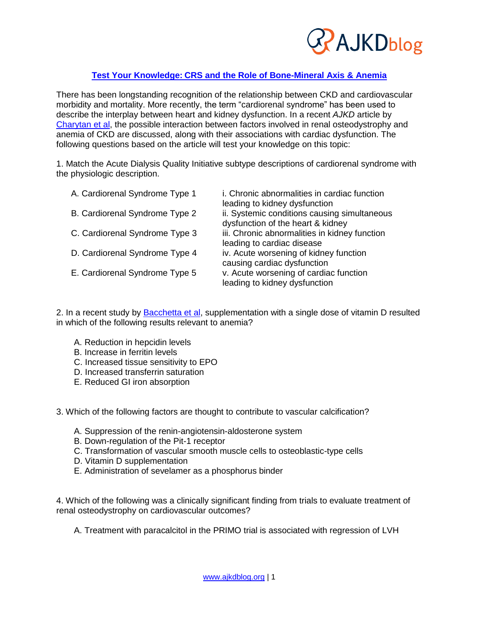

# **Test Your Knowledge: [CRS and the Role of Bone-Mineral Axis & Anemia](http://wp.me/p1IgOp-2aj)**

There has been longstanding recognition of the relationship between CKD and cardiovascular morbidity and mortality. More recently, the term "cardiorenal syndrome" has been used to describe the interplay between heart and kidney dysfunction. In a recent *AJKD* article by [Charytan et al,](http://www.ajkd.org/article/S0272-6386%2815%2900084-0/abstract) the possible interaction between factors involved in renal osteodystrophy and anemia of CKD are discussed, along with their associations with cardiac dysfunction. The following questions based on the article will test your knowledge on this topic:

1. Match the Acute Dialysis Quality Initiative subtype descriptions of cardiorenal syndrome with the physiologic description.

| A. Cardiorenal Syndrome Type 1 | i. Chronic abnormalities in cardiac function<br>leading to kidney dysfunction     |
|--------------------------------|-----------------------------------------------------------------------------------|
| B. Cardiorenal Syndrome Type 2 | ii. Systemic conditions causing simultaneous<br>dysfunction of the heart & kidney |
| C. Cardiorenal Syndrome Type 3 | iii. Chronic abnormalities in kidney function<br>leading to cardiac disease       |
| D. Cardiorenal Syndrome Type 4 | iv. Acute worsening of kidney function<br>causing cardiac dysfunction             |
| E. Cardiorenal Syndrome Type 5 | v. Acute worsening of cardiac function<br>leading to kidney dysfunction           |

2. In a recent study by [Bacchetta et al,](http://www.ncbi.nlm.nih.gov/pubmed/24204002) supplementation with a single dose of vitamin D resulted in which of the following results relevant to anemia?

- A. Reduction in hepcidin levels
- B. Increase in ferritin levels
- C. Increased tissue sensitivity to EPO
- D. Increased transferrin saturation
- E. Reduced GI iron absorption

3. Which of the following factors are thought to contribute to vascular calcification?

- A. Suppression of the renin-angiotensin-aldosterone system
- B. Down-regulation of the Pit-1 receptor
- C. Transformation of vascular smooth muscle cells to osteoblastic-type cells
- D. Vitamin D supplementation
- E. Administration of sevelamer as a phosphorus binder

4. Which of the following was a clinically significant finding from trials to evaluate treatment of renal osteodystrophy on cardiovascular outcomes?

A. Treatment with paracalcitol in the PRIMO trial is associated with regression of LVH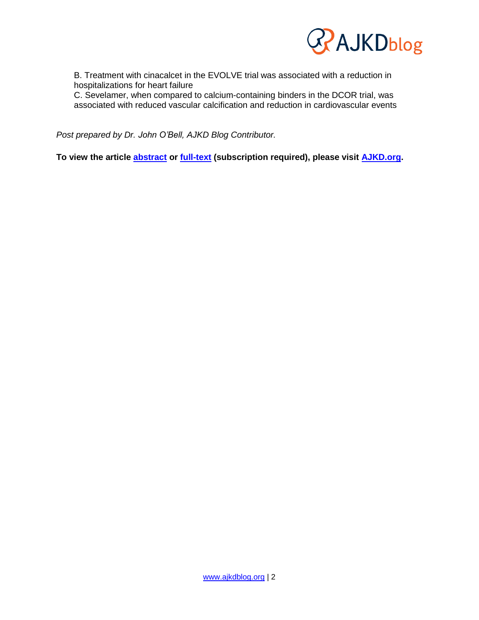

B. Treatment with cinacalcet in the EVOLVE trial was associated with a reduction in hospitalizations for heart failure

C. Sevelamer, when compared to calcium-containing binders in the DCOR trial, was associated with reduced vascular calcification and reduction in cardiovascular events

*Post prepared by Dr. John O'Bell, AJKD Blog Contributor.*

**To view the article [abstract](http://www.ajkd.org/article/S0272-6386%2815%2900084-0/abstract) or [full-text](http://www.ajkd.org/article/S0272-6386%2815%2900084-0/fulltext) (subscription required), please visit [AJKD.org.](http://www.ajkd.org/)**